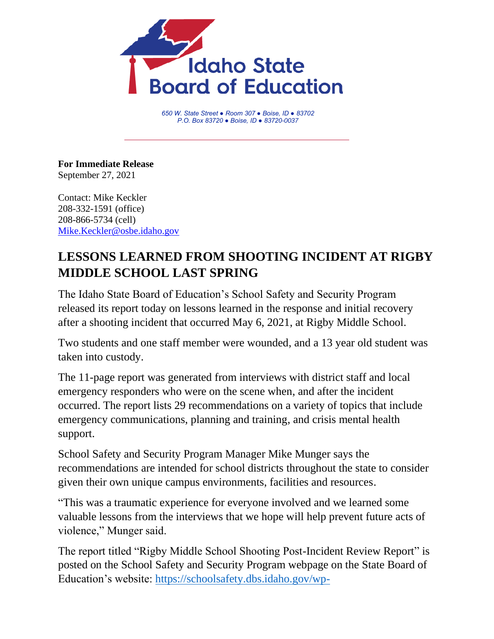

*650 W. State Street ● Room 307 ● Boise, ID ● 83702 P.O. Box 83720 ● Boise, ID ● 83720-0037*

**For Immediate Release** September 27, 2021

Contact: Mike Keckler 208-332-1591 (office) 208-866-5734 (cell) [Mike.Keckler@osbe.idaho.gov](mailto:Mike.Keckler@osbe.idaho.gov)

## **LESSONS LEARNED FROM SHOOTING INCIDENT AT RIGBY MIDDLE SCHOOL LAST SPRING**

The Idaho State Board of Education's School Safety and Security Program released its report today on lessons learned in the response and initial recovery after a shooting incident that occurred May 6, 2021, at Rigby Middle School.

Two students and one staff member were wounded, and a 13 year old student was taken into custody.

The 11-page report was generated from interviews with district staff and local emergency responders who were on the scene when, and after the incident occurred. The report lists 29 recommendations on a variety of topics that include emergency communications, planning and training, and crisis mental health support.

School Safety and Security Program Manager Mike Munger says the recommendations are intended for school districts throughout the state to consider given their own unique campus environments, facilities and resources.

"This was a traumatic experience for everyone involved and we learned some valuable lessons from the interviews that we hope will help prevent future acts of violence," Munger said.

The report titled "Rigby Middle School Shooting Post-Incident Review Report" is posted on the School Safety and Security Program webpage on the State Board of Education's website: [https://schoolsafety.dbs.idaho.gov/wp-](https://schoolsafety.dbs.idaho.gov/wp-content/uploads/sites/106/2021/09/Rigby-MS-Lessons-Learned-Final-Release-Copy.pdf)